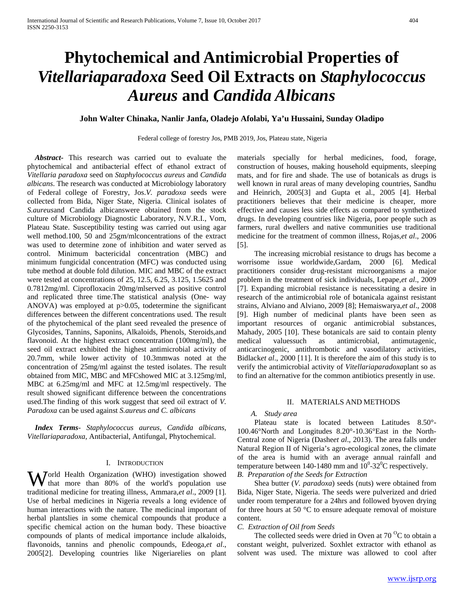# **Phytochemical and Antimicrobial Properties of** *Vitellariaparadoxa* **Seed Oil Extracts on** *Staphylococcus Aureus* **and** *Candida Albicans*

# **John Walter Chinaka, Nanlir Janfa, Oladejo Afolabi, Ya'u Hussaini, Sunday Oladipo**

Federal college of forestry Jos, PMB 2019, Jos, Plateau state, Nigeria

 *Abstract***-** This research was carried out to evaluate the phytochemical and antibacterial effect of ethanol extract of *Vitellaria paradoxa* seed on *Staphylococcus aureus* and *Candida albicans*. The research was conducted at Microbiology laboratory of Federal college of Forestry, Jos.*V. paradoxa* seeds were collected from Bida, Niger State, Nigeria. Clinical isolates of *S.aureus*and Candida albicanswere obtained from the stock culture of Microbiology Diagnostic Laboratory, N.V.R.I., Vom, Plateau State. Susceptibility testing was carried out using agar well method.100, 50 and 25gm/mlconcentrations of the extract was used to determine zone of inhibition and water served as control. Minimum bactericidal concentration (MBC) and minimum fungicidal concentration (MFC) was conducted using tube method at double fold dilution. MIC and MBC of the extract were tested at concentrations of 25, 12.5, 6.25, 3.125, 1.5625 and 0.7812mg/ml. Ciprofloxacin 20mg/mlserved as positive control and replicated three time.The statistical analysis (One- way ANOVA) was employed at p>0.05, todetermine the significant differences between the different concentrations used. The result of the phytochemical of the plant seed revealed the presence of Glycosides, Tannins, Saponins, Alkaloids, Phenols, Steroids,and flavonoid. At the highest extract concentration (100mg/ml), the seed oil extract exhibited the highest antimicrobial activity of 20.7mm, while lower activity of 10.3mmwas noted at the concentration of 25mg/ml against the tested isolates. The result obtained from MIC, MBC and MFCshowed MIC at 3.125mg/ml, MBC at 6.25mg/ml and MFC at 12.5mg/ml respectively. The result showed significant difference between the concentrations used.The finding of this work suggest that seed oil extract of *V. Paradoxa* can be used against *S.aureus and C. albicans*

 *Index Terms*- *Staphylococcus aureus, Candida albicans, Vitellariaparadoxa,* Antibacterial, Antifungal, Phytochemical.

# I. INTRODUCTION

**W** orld Health Organization (WHO) investigation showed<br>that more than 80% of the world's population use that more than 80% of the world's population use traditional medicine for treating illness, Ammara,*et al*., 2009 [1]. Use of herbal medicines in Nigeria reveals a long evidence of human interactions with the nature. The medicinal important of herbal plantslies in some chemical compounds that produce a specific chemical action on the human body. These bioactive compounds of plants of medical importance include alkaloids, flavonoids, tannins and phenolic compounds, Edeoga,*et al*., 2005[2]. Developing countries like Nigeriarelies on plant

materials specially for herbal medicines, food, forage, construction of houses, making household equipments, sleeping mats, and for fire and shade. The use of botanicals as drugs is well known in rural areas of many developing countries, Sandhu and Heinrich, 2005[3] and Gupta et al., 2005 [4]. Herbal practitioners believes that their medicine is cheaper, more effective and causes less side effects as compared to synthetized drugs. In developing countries like Nigeria, poor people such as farmers, rural dwellers and native communities use traditional medicine for the treatment of common illness, Rojas,*et al*., 2006 [5].

 The increasing microbial resistance to drugs has become a worrisome issue worldwide,Gardam, 2000 [6]. Medical practitioners consider drug-resistant microorganisms a major problem in the treatment of sick individuals, Lepape,*et al*., 2009 [7]. Expanding microbial resistance is necessitating a desire in research of the antimicrobial role of botanicala against resistant strains, Alviano and Alviano, 2009 [8]; Hemaiswarya,*et al*., 2008 [9]. High number of medicinal plants have been seen as important resources of organic antimicrobial substances, Mahady, 2005 [10]. These botanicals are said to contain plenty medical valuessuch as antimicrobial, antimutagenic, anticarcinogenic, antithrombotic and vasodilatory activities, Bidlack*et al*., 2000 [11]. It is therefore the aim of this study is to verify the antimicrobial activity of *Vitellariaparadoxa*plant so as to find an alternative for the common antibiotics presently in use.

#### II. MATERIALS AND METHODS

#### *A. Study area*

 Plateau state is located between Latitudes 8.50°- 100.46°North and Longitudes 8.20°-10.36°East in the North-Central zone of Nigeria (Dashe*et al*., 2013). The area falls under Natural Region II of Nigeria's agro-ecological zones, the climate of the area is humid with an average annual rainfall and temperature between 140-1480 mm and  $10^0$ -32 $^0$ C respectively. *B. Preparation of the Seeds for Extraction*

 Shea butter (*V. paradoxa*) seeds (nuts) were obtained from Bida, Niger State, Nigeria. The seeds were pulverized and dried under room temperature for a 24hrs and followed byoven drying for three hours at 50  $\degree$ C to ensure adequate removal of moisture content.

#### *C. Extraction of Oil from Seeds*

The collected seeds were dried in Oven at  $70<sup>o</sup>C$  to obtain a constant weight, pulverized. Soxhlet extractor with ethanol as solvent was used. The mixture was allowed to cool after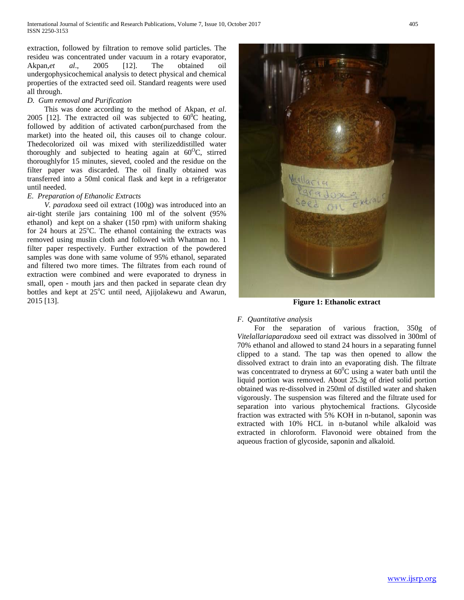extraction, followed by filtration to remove solid particles. The resideu was concentrated under vacuum in a rotary evaporator, Akpan,*et al*., 2005 [12]. The obtained oil undergophysicochemical analysis to detect physical and chemical properties of the extracted seed oil. Standard reagents were used all through.

# *D. Gum removal and Purification*

 This was done according to the method of Akpan, *et al*. 2005 [12]. The extracted oil was subjected to  $60^{\circ}$ C heating, followed by addition of activated carbon(purchased from the market) into the heated oil, this causes oil to change colour. Thedecolorized oil was mixed with sterilizeddistilled water thoroughly and subjected to heating again at  $60^{\circ}$ C, stirred thoroughlyfor 15 minutes, sieved, cooled and the residue on the filter paper was discarded. The oil finally obtained was transferred into a 50ml conical flask and kept in a refrigerator until needed.

# *E. Preparation of Ethanolic Extracts*

 *V. paradoxa* seed oil extract (100g) was introduced into an air-tight sterile jars containing 100 ml of the solvent (95% ethanol) and kept on a shaker (150 rpm) with uniform shaking for 24 hours at  $25^{\circ}$ C. The ethanol containing the extracts was removed using muslin cloth and followed with Whatman no. 1 filter paper respectively. Further extraction of the powdered samples was done with same volume of 95% ethanol, separated and filtered two more times. The filtrates from each round of extraction were combined and were evaporated to dryness in small, open - mouth jars and then packed in separate clean dry bottles and kept at 25°C until need, Ajijolakewu and Awarun, 2015 [13]. **Figure 1: Ethanolic extract**



# *F. Quantitative analysis*

 For the separation of various fraction, 350g of *Vitelallariaparadoxa* seed oil extract was dissolved in 300ml of 70% ethanol and allowed to stand 24 hours in a separating funnel clipped to a stand. The tap was then opened to allow the dissolved extract to drain into an evaporating dish. The filtrate was concentrated to dryness at  $60^{\circ}$ C using a water bath until the liquid portion was removed. About 25.3g of dried solid portion obtained was re-dissolved in 250ml of distilled water and shaken vigorously. The suspension was filtered and the filtrate used for separation into various phytochemical fractions. Glycoside fraction was extracted with 5% KOH in n-butanol, saponin was extracted with 10% HCL in n-butanol while alkaloid was extracted in chloroform. Flavonoid were obtained from the aqueous fraction of glycoside, saponin and alkaloid.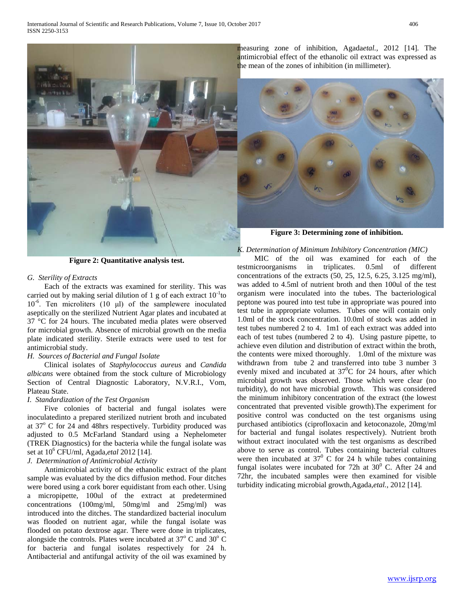

**Figure 2: Quantitative analysis test.**

## *G. Sterility of Extracts*

 Each of the extracts was examined for sterility. This was carried out by making serial dilution of 1 g of each extract  $10^{-1}$ to 10-6 . Ten microliters (10 μl) of the samplewere inoculated aseptically on the sterilized Nutrient Agar plates and incubated at 37 °C for 24 hours. The incubated media plates were observed for microbial growth. Absence of microbial growth on the media plate indicated sterility. Sterile extracts were used to test for antimicrobial study.

# *H. Sources of Bacterial and Fungal Isolate*

 Clinical isolates of *Staphylococcus aureus* and *Candida albicans* were obtained from the stock culture of Microbiology Section of Central Diagnostic Laboratory, N.V.R.I., Vom, Plateau State.

# *I. Standardization of the Test Organism*

 Five colonies of bacterial and fungal isolates were inoculatedinto a prepared sterilized nutrient broth and incubated at  $37^{\circ}$  C for 24 and 48hrs respectively. Turbidity produced was adjusted to 0.5 McFarland Standard using a Nephelometer (TREK Diagnostics) for the bacteria while the fungal isolate was set at 10<sup>6</sup> CFU/ml, Agada,*etal* 2012 [14].

# *J. Determination of Antimicrobial Activity*

 Antimicrobial activity of the ethanolic extract of the plant sample was evaluated by the dics diffusion method. Four ditches were bored using a cork borer equidistant from each other. Using a micropipette, 100ul of the extract at predetermined concentrations (100mg/ml, 50mg/ml and 25mg/ml) was introduced into the ditches. The standardized bacterial inoculum was flooded on nutrient agar, while the fungal isolate was flooded on potato dextrose agar. There were done in triplicates, alongside the controls. Plates were incubated at  $37^{\circ}$  C and  $30^{\circ}$  C for bacteria and fungal isolates respectively for 24 h. Antibacterial and antifungal activity of the oil was examined by

measuring zone of inhibition, Agada*etal.,* 2012 [14]. The antimicrobial effect of the ethanolic oil extract was expressed as the mean of the zones of inhibition (in millimeter).



**Figure 3: Determining zone of inhibition.**

*K. Determination of Minimum Inhibitory Concentration (MIC)*

 MIC of the oil was examined for each of the testmicroorganisms in triplicates. 0.5ml of different concentrations of the extracts (50, 25, 12.5, 6.25, 3.125 mg/ml), was added to 4.5ml of nutrient broth and then 100ul of the test organism were inoculated into the tubes. The bacteriological peptone was poured into test tube in appropriate was poured into test tube in appropriate volumes. Tubes one will contain only 1.0ml of the stock concentration. 10.0ml of stock was added in test tubes numbered 2 to 4. 1m1 of each extract was added into each of test tubes (numbered 2 to 4). Using pasture pipette, to achieve even dilution and distribution of extract within the broth, the contents were mixed thoroughly. 1.0ml of the mixture was withdrawn from tube 2 and transferred into tube 3 number 3 evenly mixed and incubated at  $37^0C$  for 24 hours, after which microbial growth was observed. Those which were clear (no turbidity), do not have microbial growth. This was considered the minimum inhibitory concentration of the extract (the lowest concentrated that prevented visible growth).The experiment for positive control was conducted on the test organisms using purchased antibiotics (ciprofloxacin and ketoconazole, 20mg/ml for bacterial and fungal isolates respectively). Nutrient broth without extract inoculated with the test organisms as described above to serve as control. Tubes containing bacterial cultures were then incubated at  $37^{\circ}$  C for 24 h while tubes containing fungal isolates were incubated for 72h at  $30^0$  C. After 24 and 72hr, the incubated samples were then examined for visible turbidity indicating microbial growth,Agada,*etal.,* 2012 [14].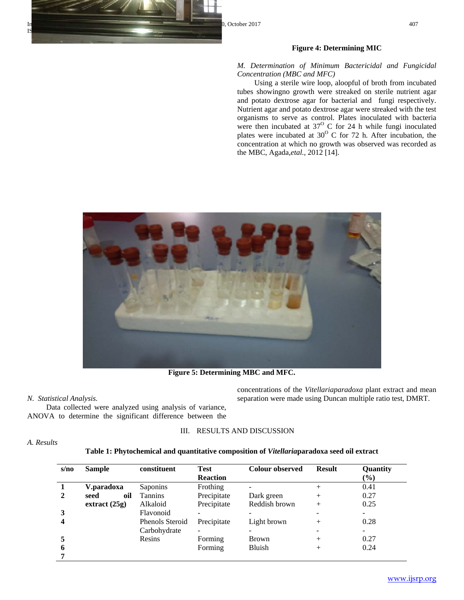# **Figure 4: Determining MIC**

## *M. Determination of Minimum Bactericidal and Fungicidal Concentration (MBC and MFC)*

 Using a sterile wire loop, aloopful of broth from incubated tubes showingno growth were streaked on sterile nutrient agar and potato dextrose agar for bacterial and fungi respectively. Nutrient agar and potato dextrose agar were streaked with the test organisms to serve as control. Plates inoculated with bacteria were then incubated at  $37^{\circ}$  C for 24 h while fungi inoculated plates were incubated at  $30^{\circ}$  C for 72 h. After incubation, the concentration at which no growth was observed was recorded as the MBC, Agada,*etal.,* 2012 [14].



**Figure 5: Determining MBC and MFC.**

#### *N. Statistical Analysis.*

ISSN 2250-31533

 Data collected were analyzed using analysis of variance, ANOVA to determine the significant difference between the

concentrations of the *Vitellariaparadoxa* plant extract and mean separation were made using Duncan multiple ratio test, DMRT.

# III. RESULTS AND DISCUSSION

# *A. Results*

#### **Table 1: Phytochemical and quantitative composition of** *Vitellaria***paradoxa seed oil extract**

| s/no | Sample          | constituent     | <b>Test</b>              | <b>Colour observed</b> | <b>Result</b> | Quantity                 |
|------|-----------------|-----------------|--------------------------|------------------------|---------------|--------------------------|
|      |                 |                 | <b>Reaction</b>          |                        |               | $(\%)$                   |
|      | V.paradoxa      | <b>Saponins</b> | Frothing                 |                        | $^{+}$        | 0.41                     |
|      | oil<br>seed     | <b>Tannins</b>  | Precipitate              | Dark green             | $^{+}$        | 0.27                     |
|      | extract $(25g)$ | Alkaloid        | Precipitate              | Reddish brown          | $^{+}$        | 0.25                     |
| 3    |                 | Flavonoid       | $\overline{\phantom{0}}$ |                        | -             |                          |
|      |                 | Phenols Steroid | Precipitate              | Light brown            | $^{+}$        | 0.28                     |
|      |                 | Carbohydrate    | $\overline{\phantom{0}}$ |                        |               | $\overline{\phantom{0}}$ |
|      |                 | Resins          | Forming                  | <b>Brown</b>           | $^+$          | 0.27                     |
| 6    |                 |                 | Forming                  | Bluish                 |               | 0.24                     |
|      |                 |                 |                          |                        |               |                          |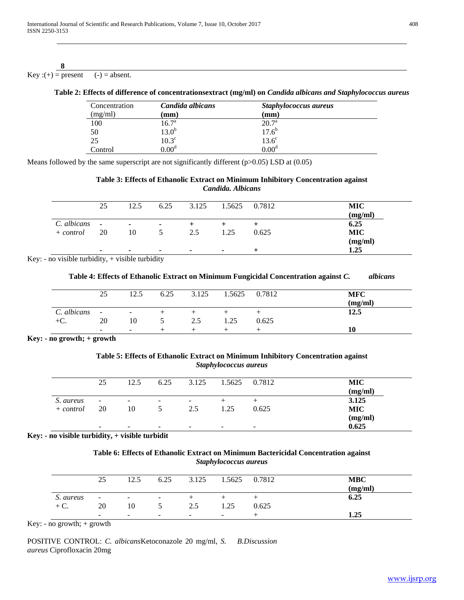## **8** Key :(+) = present (-) = absent.

# **Table 2: Effects of difference of concentrationsextract (mg/ml) on** *Candida albicans and Staphylococcus aureus*

| Concentration | Candida albicans  | Staphylococcus aureus |
|---------------|-------------------|-----------------------|
| (mg/ml)       | (mm)              | $(\mathbf{mm})$       |
| 100           | 16.7 <sup>a</sup> | 20.7 <sup>a</sup>     |
| 50            | 13.0 <sup>b</sup> | $17.6^{b}$            |
| 25            | $10.3^\circ$      | $13.6^\circ$          |
| Control       | $0.00^d$          | 0.00 <sup>d</sup>     |

Means followed by the same superscript are not significantly different (p>0.05) LSD at (0.05)

# **Table 3: Effects of Ethanolic Extract on Minimum Inhibitory Concentration against** *Candida. Albicans*

|             | 25               | 12.5           | 6.25                     | 3.125  | 1.5625 | 0.7812 | <b>MIC</b><br>(mg/ml) |
|-------------|------------------|----------------|--------------------------|--------|--------|--------|-----------------------|
| C. albicans | $\sim$ 100 $\pm$ | $\sim$         | ٠                        |        |        | +      | 6.25                  |
| + control   | 20               | 10             |                          | 2.5    | 1.25   | 0.625  | <b>MIC</b>            |
|             |                  |                |                          |        |        |        | (mg/ml)               |
|             |                  | $\blacksquare$ | $\overline{\phantom{0}}$ | $\sim$ | ۰.     | +      | 1.25                  |

Key: - no visible turbidity,  $+$  visible turbidity

# **Table 4: Effects of Ethanolic Extract on Minimum Fungicidal Concentration against** *C. albicans*

|             | 25                       | 12.5                     | 6.25 | 3.125 | .5625 | 0.7812 | <b>MFC</b> |
|-------------|--------------------------|--------------------------|------|-------|-------|--------|------------|
|             |                          |                          |      |       |       |        | (mg/ml)    |
| C. albicans | $\sim$                   | $\sim$                   |      |       |       |        | 12.5       |
| $+C$ .      | 20                       | 10                       |      | 2.5   | .25   | 0.625  |            |
|             | $\overline{\phantom{a}}$ | $\overline{\phantom{a}}$ |      |       |       |        | 10         |

**Key: - no growth; + growth** 

# **Table 5: Effects of Ethanolic Extract on Minimum Inhibitory Concentration against** *Staphylococcus aureus*

|             | 25                       | 12.5                     | 6.25                     | 3.125                    | 1.5625                   | 0.7812                   | MIC<br>(mg/ml) |
|-------------|--------------------------|--------------------------|--------------------------|--------------------------|--------------------------|--------------------------|----------------|
| S. aureus   | $\overline{\phantom{a}}$ | $\sim$                   | $\overline{\phantom{a}}$ | ۰                        |                          |                          | 3.125          |
| $+$ control | 20                       | 10                       |                          | 2.5                      | 1.25                     | 0.625                    | <b>MIC</b>     |
|             |                          |                          |                          |                          |                          |                          | (mg/ml)        |
|             | $\overline{\phantom{0}}$ | $\overline{\phantom{0}}$ | $\overline{\phantom{0}}$ | $\overline{\phantom{0}}$ | $\overline{\phantom{0}}$ | $\overline{\phantom{a}}$ | 0.625          |

**Key: - no visible turbidity, + visible turbidit**

# **Table 6: Effects of Ethanolic Extract on Minimum Bactericidal Concentration against** *Staphylococcus aureus*

|           | 25                       | 12.5                     | 6.25                     | 3.125                    | 1.5625                   | 0.7812 | <b>MBC</b> |
|-----------|--------------------------|--------------------------|--------------------------|--------------------------|--------------------------|--------|------------|
|           |                          |                          |                          |                          |                          |        | (mg/ml)    |
| S. aureus | $\sim$                   | $\sim$                   | $\sim$                   |                          |                          |        | 6.25       |
| $+ C.$    | 20                       | 10                       |                          | 2.5                      | .25                      | 0.625  |            |
|           | $\overline{\phantom{0}}$ | $\overline{\phantom{0}}$ | $\overline{\phantom{0}}$ | $\overline{\phantom{a}}$ | $\overline{\phantom{m}}$ |        | 1.25       |

Key: - no growth; + growth

POSITIVE CONTROL: *C. albicans*Ketoconazole 20 mg/ml, *S. aureus* Ciprofloxacin 20mg *B.Discussion*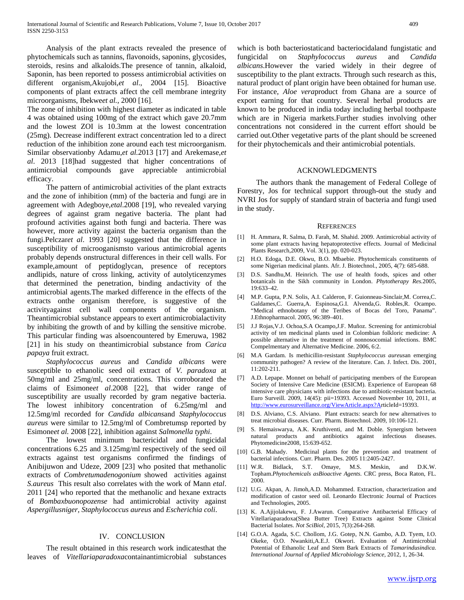Analysis of the plant extracts revealed the presence of phytochemicals such as tannins, flavonoids, saponins, glycosides, steroids, resins and alkaloids.The presence of tannin, alkaloid, Saponin, has been reported to possess antimicrobial activities on different organism,Akujobi,*et al*., 2004 [15]. Bioactive components of plant extracts affect the cell membrane integrity microorganisms, Ibekwe*et al.,* 2000 [16].

The zone of inhibition with highest diameter as indicated in table 4 was obtained using 100mg of the extract which gave 20.7mm and the lowest ZOI is 10.3mm at the lowest concentration (25mg). Decrease indifferent extract concentration led to a direct reduction of the inhibition zone around each test microorganism. Similar observationby Adamu,*et al.*2013 [17] and Arekemase,*et al*. 2013 [18]had suggested that higher concentrations of antimicrobial compounds gave appreciable antimicrobial efficacy.

 The pattern of antimicrobial activities of the plant extracts and the zone of inhibition (mm) of the bacteria and fungi are in agreement with Adegboye,*etal*.2008 [19], who revealed varying degrees of against gram negative bacteria. The plant had profound activities against both fungi and bacteria. There was however, more activity against the bacteria organism than the fungi.Pelczar*et al*. 1993 [20] suggested that the difference in susceptibility of microoganismsto various antimicrobial agents probably depends onstructural differences in their cell walls. For example,amount of peptidoglycan, presence of receptors andlipids, nature of cross linking, activity of autolyticenzymes that determined the penetration, binding andactivity of the antimicrobial agents.The marked difference in the effects of the extracts onthe organism therefore, is suggestive of the activityagainst cell wall components of the organism. Theantimicrobial substance appears to exert antimicrobialactivity by inhibiting the growth of and by killing the sensitive microbe. This particular finding was alsoencountered by Emeruwa, 1982 [21] in his study on theantimicrobial substance from *Carica papaya* fruit extract.

 *Staphylococcus aureus* and *Candida albicans* were susceptible to ethanolic seed oil extract of *V. paradoxa* at 50mg/ml and 25mg/ml, concentrations. This corroborated the claims of Esimone*et al*.2008 [22], that wider range of susceptibility are usually recorded by gram negative bacteria. The lowest inhibitory concentration of 6.25mg/ml and 12.5mg/ml recorded for *Candida albicans*and *Staphylococcus aureus* were similar to 12.5mg/ml of Combretumsp reported by Esimone*et al.* 2008 [22], inhibition against *Salmonella typhi*.

 The lowest minimum bactericidal and fungicidal concentrations 6.25 and 3.125mg/ml respectively of the seed oil extracts against test organisms confirmed the findings of Anibijuwon and Udeze, 2009 [23] who posited that methanolic extracts of *Combretumadenogonium* showed activities against *S.aureus* This result also correlates with the work of Mann *etal*. 2011 [24] who reported that the methanolic and hexane extracts of *Bombaxbuonopozense* had antimicrobial activity against *Aspergillusniger, Staphylococcus aureus* and *Escherichia coli*.

# IV. CONCLUSION

 The result obtained in this research work indicatesthat the leaves of *Vitellariaparadoxa*containantimicrobial substances which is both bacteriostaticand bacteriocidaland fungistatic and fungicidal on *Staphylococcus aureus* and *Candida albicans*.However the varied widely in their degree of susceptibility to the plant extracts. Through such research as this, natural product of plant origin have been obtained for human use. For instance, *Aloe vera*product from Ghana are a source of export earning for that country. Several herbal products are known to be produced in india today including herbal toothpaste which are in Nigeria markets.Further studies involving other concentrations not considered in the current effort should be carried out.Other vegetative parts of the plant should be screened for their phytochemicals and their antimicrobial potentials.

## ACKNOWLEDGMENTS

 The authors thank the management of Federal College of Forestry, Jos for technical support through-out the study and NVRI Jos for supply of standard strain of bacteria and fungi used in the study.

#### **REFERENCES**

- [1] H. Ammara, R. Salma, D. Farah, M. Shahid. 2009. Antimicrobial activity of some plant extracts having hepatoprotective effects. Journal of Medicinal Plants Research,2009, Vol. 3(1), pp. 020-023.
- [2] H.O. Edoga, D.E. Okwu, B.O. Mbaebie. Phytochemicals constituents of some Nigerian medicinal plants. Afr. J. Biotechnol., 2005, 4(7): 685-688.
- [3] D.S. Sandhu,M. Heinrich. The use of health foods, spices and other botanicals in the Sikh community in London. *Phytotherapy Res.*2005, 19:633–42.
- [4] M.P. Gupta, P.N. Solis, A.I. Calderon, F. Guionneau-Sinclair,M. Correa,C. Galdames,C. Guerra,A. Espinosa,G.I. Alvenda,G. Robles,R. Ocampo. "Medical ethnobotany of the Teribes of Bocas del Toro, Panama". J.Ethnopharmacol. 2005, 96:389–401.
- [5] J.J Rojas,V.J. Ochoa,S.A Ocampo,J.F. Muñoz. Screening for antimicrobial activity of ten medicinal plants used in Colombian folkloric medicine: A possible alternative in the treatment of nonnosocomial infections. BMC Compelmentary and Alternative Medicine. 2006, 6:2.
- [6] M.A Gardam. Is methicillin-resistant *Staphylococcus aureus*an emerging community pathogen? A review of the literature. Can. J. Infect. Dis. 2001, 11:202-211.
- [7] A.D. Lepape. Monnet on behalf of participating members of the European Society of Intensive Care Medicine (ESICM). Experience of European 68 intensive care physicians with infections due to antibiotic-resistant bacteria. Euro Surveill. 2009, 14(45): pii=19393. Accessed November 10, 2011, at [http://www.eurosurveillance.org/ViewArticle.aspx?Ar](http://www.eurosurveillance.org/ViewArticle.aspx?A)ticleId=19393.
- [8] D.S. Alviano, C.S. Alviano. Plant extracts: search for new alternatives to treat microbial diseases. Curr. Pharm. Biotechnol*.* 2009, 10:106-121.
- [9] S. Hemaiswarya, A.K. Kruthiventi, and M. Doble. Synergism between natural products and antibiotics against infectious diseases. Phytomedicine2008, 15:639-652.
- [10] G.B. Mahady. Medicinal plants for the prevention and treatment of bacterial infections. Curr. Pharm. Des. 2005 11:2405-2427.
- [11] W.R. Bidlack, S.T. Omaye, M.S. Meskin, and D.K.W. Topham.*Phytochemicals asBioactive Agents*. CRC press, Boca Raton, FL. 2000.
- [12] U.G. Akpan, A. Jimoh, A.D. Mohammed. Extraction, characterization and modification of castor seed oil. Leonardo Electronic Journal of Practices and Technologies, 2005.
- [13] K. A.Ajijolakewu, F. J.Awarun. Comparative Antibacterial Efficacy of Vitellariaparadoxa(Shea Butter Tree) Extracts against Some Clinical Bacterial Isolates. *Not SciBiol,* 2015, 7(3):264-268*.*
- [14] G.O.A. Agada, S.C. Chollom, J.G. Gotep, N.N. Gambo, A.D. Tyem, I.O. Okeke, O.O. Nwankiti,A.E.J. Okwori. Evaluation of Antimicrobial Potential of Ethanolic Leaf and Stem Bark Extracts of *Tamarindusindica. International Journal of Applied Microbiology Science,* 2012, 1, 26-34.